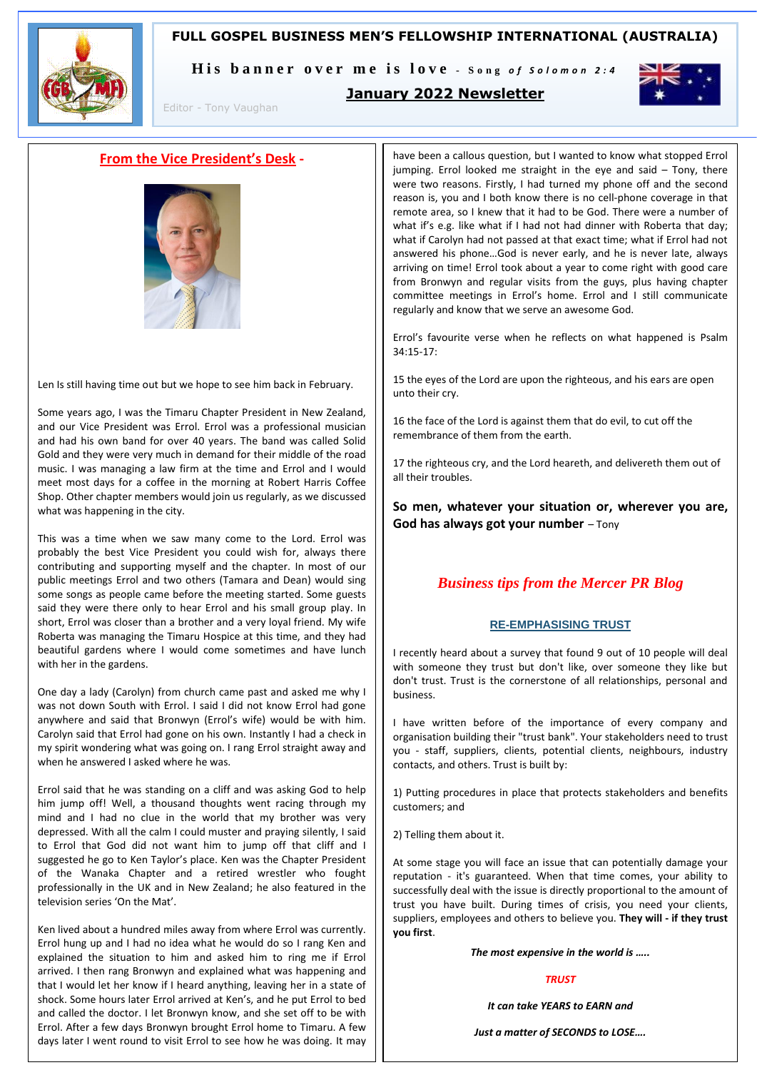## **FULL GOSPEL BUSINESS MEN'S FELLOWSHIP INTERNATIONAL (AUSTRALIA)**



His banner over me is love - Song of Solomon 2:4



Editor - Tony Vaughan

## **January 2022 Newsletter**

## **From the Vice President's Desk -**



Len Is still having time out but we hope to see him back in February.

Some years ago, I was the Timaru Chapter President in New Zealand, and our Vice President was Errol. Errol was a professional musician and had his own band for over 40 years. The band was called Solid Gold and they were very much in demand for their middle of the road music. I was managing a law firm at the time and Errol and I would meet most days for a coffee in the morning at Robert Harris Coffee Shop. Other chapter members would join us regularly, as we discussed what was happening in the city.

This was a time when we saw many come to the Lord. Errol was probably the best Vice President you could wish for, always there contributing and supporting myself and the chapter. In most of our public meetings Errol and two others (Tamara and Dean) would sing some songs as people came before the meeting started. Some guests said they were there only to hear Errol and his small group play. In short, Errol was closer than a brother and a very loyal friend. My wife Roberta was managing the Timaru Hospice at this time, and they had beautiful gardens where I would come sometimes and have lunch with her in the gardens.

One day a lady (Carolyn) from church came past and asked me why I was not down South with Errol. I said I did not know Errol had gone anywhere and said that Bronwyn (Errol's wife) would be with him. Carolyn said that Errol had gone on his own. Instantly I had a check in my spirit wondering what was going on. I rang Errol straight away and when he answered I asked where he was.

Errol said that he was standing on a cliff and was asking God to help him jump off! Well, a thousand thoughts went racing through my mind and I had no clue in the world that my brother was very depressed. With all the calm I could muster and praying silently, I said to Errol that God did not want him to jump off that cliff and I suggested he go to Ken Taylor's place. Ken was the Chapter President of the Wanaka Chapter and a retired wrestler who fought professionally in the UK and in New Zealand; he also featured in the television series 'On the Mat'.

Ken lived about a hundred miles away from where Errol was currently. Errol hung up and I had no idea what he would do so I rang Ken and explained the situation to him and asked him to ring me if Errol arrived. I then rang Bronwyn and explained what was happening and that I would let her know if I heard anything, leaving her in a state of shock. Some hours later Errol arrived at Ken's, and he put Errol to bed and called the doctor. I let Bronwyn know, and she set off to be with Errol. After a few days Bronwyn brought Errol home to Timaru. A few days later I went round to visit Errol to see how he was doing. It may

have been a callous question, but I wanted to know what stopped Errol jumping. Errol looked me straight in the eye and said – Tony, there were two reasons. Firstly, I had turned my phone off and the second reason is, you and I both know there is no cell-phone coverage in that remote area, so I knew that it had to be God. There were a number of what if's e.g. like what if I had not had dinner with Roberta that day; what if Carolyn had not passed at that exact time; what if Errol had not answered his phone…God is never early, and he is never late, always arriving on time! Errol took about a year to come right with good care from Bronwyn and regular visits from the guys, plus having chapter committee meetings in Errol's home. Errol and I still communicate regularly and know that we serve an awesome God.

Errol's favourite verse when he reflects on what happened is Psalm 34:15-17:

15 the eyes of the Lord are upon the righteous, and his ears are open unto their cry.

16 the face of the Lord is against them that do evil, to cut off the remembrance of them from the earth.

17 the righteous cry, and the Lord heareth, and delivereth them out of all their troubles.

**So men, whatever your situation or, wherever you are, God has always got your number** – Tony

## *Business tips from the Mercer PR Blog*

### **RE-EMPHASISING TRUST**

I recently heard about a survey that found 9 out of 10 people will deal with someone they trust but don't like, over someone they like but don't trust. Trust is the cornerstone of all relationships, personal and business.

I have written before of the importance of every company and organisation building their "trust bank". Your stakeholders need to trust you - staff, suppliers, clients, potential clients, neighbours, industry contacts, and others. Trust is built by:

1) Putting procedures in place that protects stakeholders and benefits customers; and

2) Telling them about it.

At some stage you will face an issue that can potentially damage your reputation - it's guaranteed. When that time comes, your ability to successfully deal with the issue is directly proportional to the amount of trust you have built. During times of crisis, you need your clients, suppliers, employees and others to believe you. **They will - if they trust you first**.

*The most expensive in the world is …..*

## *TRUST*

*It can take YEARS to EARN and*

*Just a matter of SECONDS to LOSE….*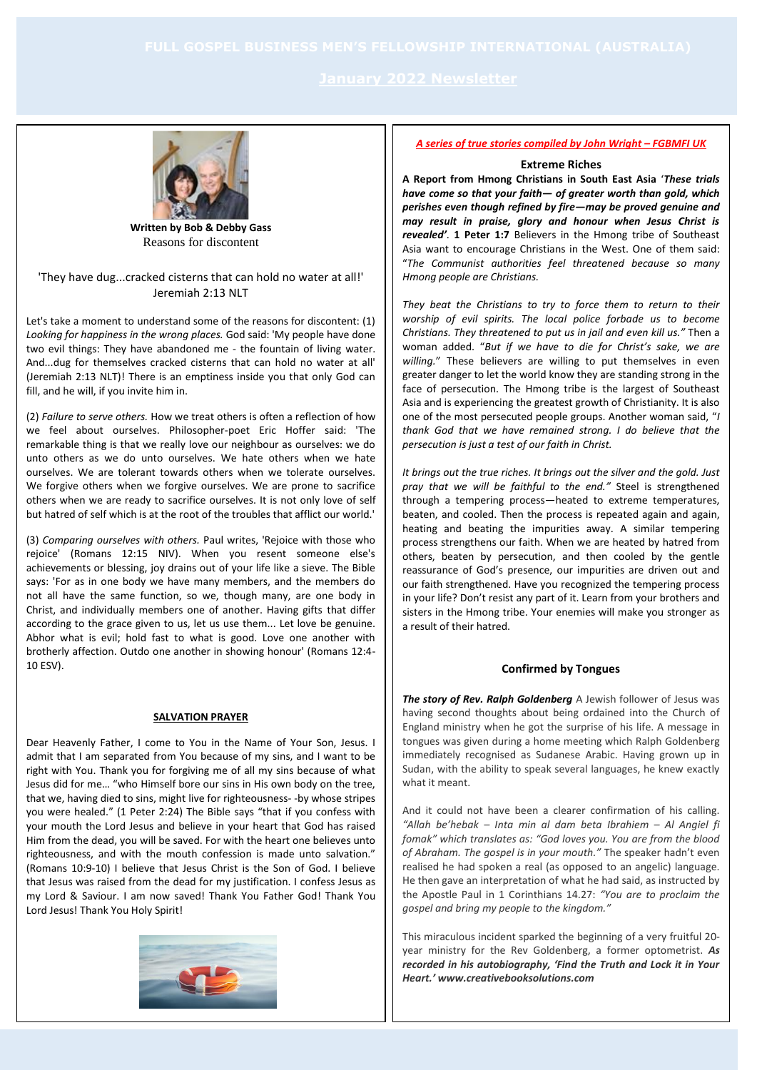

**Written by Bob & Debby Gass** Reasons for discontent

'They have dug...cracked cisterns that can hold no water at all!' Jeremiah 2:13 NLT

Let's take a moment to understand some of the reasons for discontent: (1) *Looking for happiness in the wrong places.* God said: 'My people have done two evil things: They have abandoned me - the fountain of living water. And...dug for themselves cracked cisterns that can hold no water at all' (Jeremiah 2:13 NLT)! There is an emptiness inside you that only God can fill, and he will, if you invite him in.

(2) *Failure to serve others.* How we treat others is often a reflection of how we feel about ourselves. Philosopher-poet Eric Hoffer said: 'The remarkable thing is that we really love our neighbour as ourselves: we do unto others as we do unto ourselves. We hate others when we hate ourselves. We are tolerant towards others when we tolerate ourselves. We forgive others when we forgive ourselves. We are prone to sacrifice others when we are ready to sacrifice ourselves. It is not only love of self but hatred of self which is at the root of the troubles that afflict our world.'

(3) *Comparing ourselves with others.* Paul writes, 'Rejoice with those who rejoice' (Romans 12:15 NIV). When you resent someone else's achievements or blessing, joy drains out of your life like a sieve. The Bible says: 'For as in one body we have many members, and the members do not all have the same function, so we, though many, are one body in Christ, and individually members one of another. Having gifts that differ according to the grace given to us, let us use them... Let love be genuine. Abhor what is evil; hold fast to what is good. Love one another with brotherly affection. Outdo one another in showing honour' (Romans 12:4- 10 ESV).

## **SALVATION PRAYER**

Dear Heavenly Father, I come to You in the Name of Your Son, Jesus. I admit that I am separated from You because of my sins, and I want to be right with You. Thank you for forgiving me of all my sins because of what Jesus did for me… "who Himself bore our sins in His own body on the tree, that we, having died to sins, might live for righteousness- -by whose stripes you were healed." (1 Peter 2:24) The Bible says "that if you confess with your mouth the Lord Jesus and believe in your heart that God has raised Him from the dead, you will be saved. For with the heart one believes unto righteousness, and with the mouth confession is made unto salvation." (Romans 10:9-10) I believe that Jesus Christ is the Son of God. I believe that Jesus was raised from the dead for my justification. I confess Jesus as my Lord & Saviour. I am now saved! Thank You Father God! Thank You Lord Jesus! Thank You Holy Spirit!



#### *A series of true stories compiled by John Wright – FGBMFI UK*

#### **Extreme Riches**

**A Report from Hmong Christians in South East Asia** '*These trials have come so that your faith— of greater worth than gold, which perishes even though refined by fire—may be proved genuine and may result in praise, glory and honour when Jesus Christ is revealed'*. **1 Peter 1:7** Believers in the Hmong tribe of Southeast Asia want to encourage Christians in the West. One of them said: "*The Communist authorities feel threatened because so many Hmong people are Christians.* 

*They beat the Christians to try to force them to return to their worship of evil spirits. The local police forbade us to become Christians. They threatened to put us in jail and even kill us."* Then a woman added. "*But if we have to die for Christ's sake, we are willing.*" These believers are willing to put themselves in even greater danger to let the world know they are standing strong in the face of persecution. The Hmong tribe is the largest of Southeast Asia and is experiencing the greatest growth of Christianity. It is also one of the most persecuted people groups. Another woman said, "*I thank God that we have remained strong. I do believe that the persecution is just a test of our faith in Christ.* 

*It brings out the true riches. It brings out the silver and the gold. Just pray that we will be faithful to the end."* Steel is strengthened through a tempering process—heated to extreme temperatures, beaten, and cooled. Then the process is repeated again and again, heating and beating the impurities away. A similar tempering process strengthens our faith. When we are heated by hatred from others, beaten by persecution, and then cooled by the gentle reassurance of God's presence, our impurities are driven out and our faith strengthened. Have you recognized the tempering process in your life? Don't resist any part of it. Learn from your brothers and sisters in the Hmong tribe. Your enemies will make you stronger as a result of their hatred.

#### **Confirmed by Tongues**

*The story of Rev. Ralph Goldenberg* A Jewish follower of Jesus was having second thoughts about being ordained into the Church of England ministry when he got the surprise of his life. A message in tongues was given during a home meeting which Ralph Goldenberg immediately recognised as Sudanese Arabic. Having grown up in Sudan, with the ability to speak several languages, he knew exactly what it meant.

And it could not have been a clearer confirmation of his calling. *"Allah be'hebak – Inta min al dam beta Ibrahiem – Al Angiel fi fomak" which translates as: "God loves you. You are from the blood of Abraham. The gospel is in your mouth."* The speaker hadn't even realised he had spoken a real (as opposed to an angelic) language. He then gave an interpretation of what he had said, as instructed by the Apostle Paul in 1 Corinthians 14.27: *"You are to proclaim the gospel and bring my people to the kingdom."* 

This miraculous incident sparked the beginning of a very fruitful 20 year ministry for the Rev Goldenberg, a former optometrist. *As recorded in his autobiography, 'Find the Truth and Lock it in Your Heart.' www.creativebooksolutions.com*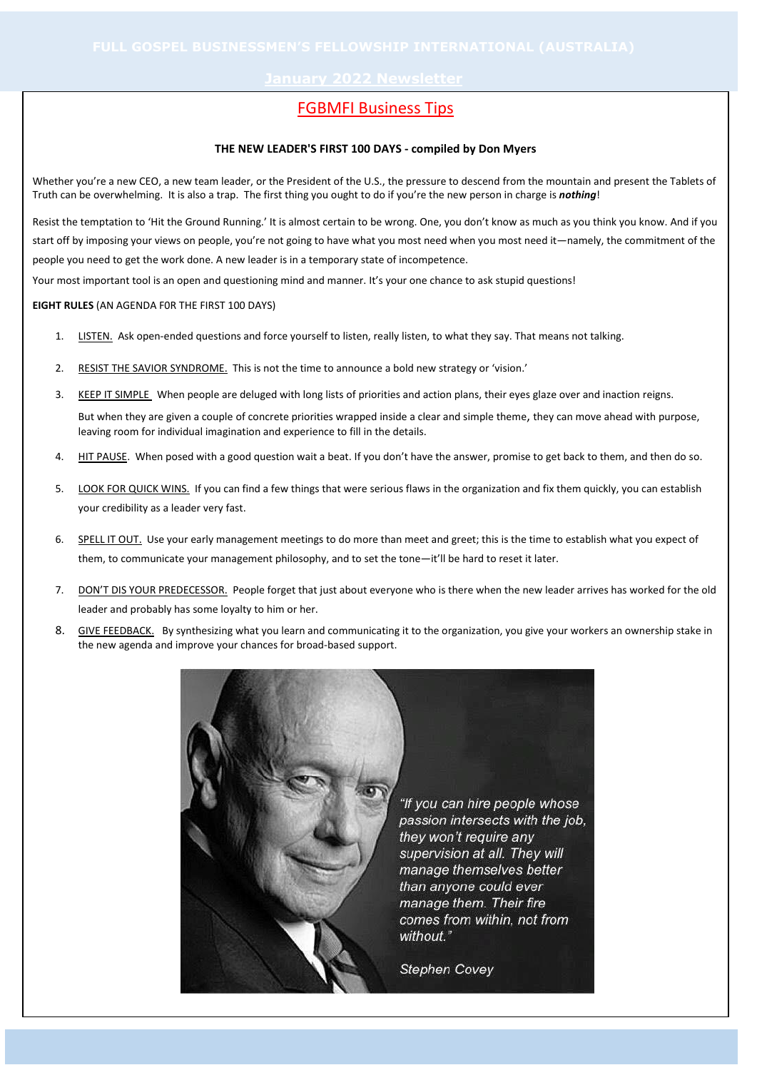## FGBMFI Business Tips

#### **THE NEW LEADER'S FIRST 100 DAYS - compiled by Don Myers**

Whether you're a new CEO, a new team leader, or the President of the U.S., the pressure to descend from the mountain and present the Tablets of Truth can be overwhelming. It is also a trap. The first thing you ought to do if you're the new person in charge is *nothing*!

Resist the temptation to 'Hit the Ground Running.' It is almost certain to be wrong. One, you don't know as much as you think you know. And if you start off by imposing your views on people, you're not going to have what you most need when you most need it—namely, the commitment of the people you need to get the work done. A new leader is in a temporary state of incompetence.

Your most important tool is an open and questioning mind and manner. It's your one chance to ask stupid questions!

### **EIGHT RULES** (AN AGENDA F0R THE FIRST 100 DAYS)

- 1. LISTEN. Ask open-ended questions and force yourself to listen, really listen, to what they say. That means not talking.
- 2. RESIST THE SAVIOR SYNDROME. This is not the time to announce a bold new strategy or 'vision.'
- 3. KEEP IT SIMPLE When people are deluged with long lists of priorities and action plans, their eyes glaze over and inaction reigns.

But when they are given a couple of concrete priorities wrapped inside a clear and simple theme, they can move ahead with purpose, leaving room for individual imagination and experience to fill in the details.

- 4. HIT PAUSE. When posed with a good question wait a beat. If you don't have the answer, promise to get back to them, and then do so.
- 5. LOOK FOR QUICK WINS. If you can find a few things that were serious flaws in the organization and fix them quickly, you can establish your credibility as a leader very fast.
- 6. SPELL IT OUT. Use your early management meetings to do more than meet and greet; this is the time to establish what you expect of them, to communicate your management philosophy, and to set the tone—it'll be hard to reset it later.
- 7. DON'T DIS YOUR PREDECESSOR. People forget that just about everyone who is there when the new leader arrives has worked for the old leader and probably has some loyalty to him or her.
- 8. GIVE FEEDBACK. By synthesizing what you learn and communicating it to the organization, you give your workers an ownership stake in the new agenda and improve your chances for broad-based support.